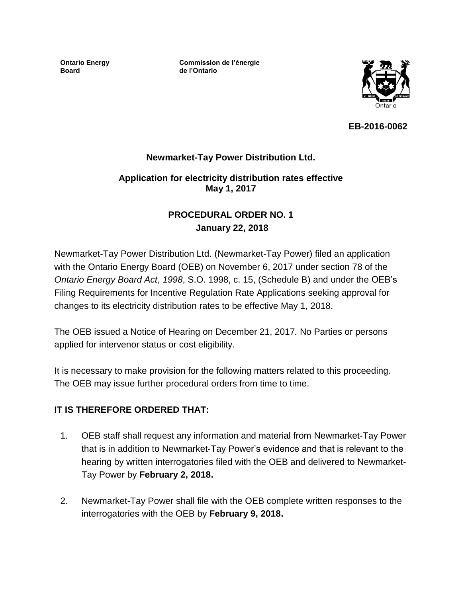**Ontario Energy Board**

**Commission de l'énergie de l'Ontario**



**EB-2016-0062**

### **Newmarket-Tay Power Distribution Ltd.**

### **Application for electricity distribution rates effective May 1, 2017**

### **PROCEDURAL ORDER NO. 1 January 22, 2018**

Newmarket-Tay Power Distribution Ltd. (Newmarket-Tay Power) filed an application with the Ontario Energy Board (OEB) on November 6, 2017 under section 78 of the *Ontario Energy Board Act*, *1998*, S.O. 1998, c. 15, (Schedule B) and under the OEB's Filing Requirements for Incentive Regulation Rate Applications seeking approval for changes to its electricity distribution rates to be effective May 1, 2018.

The OEB issued a Notice of Hearing on December 21, 2017*.* No Parties or persons applied for intervenor status or cost eligibility.

It is necessary to make provision for the following matters related to this proceeding. The OEB may issue further procedural orders from time to time.

### **IT IS THEREFORE ORDERED THAT:**

- 1. OEB staff shall request any information and material from Newmarket-Tay Power that is in addition to Newmarket-Tay Power's evidence and that is relevant to the hearing by written interrogatories filed with the OEB and delivered to Newmarket-Tay Power by **February 2, 2018.**
- 2. Newmarket-Tay Power shall file with the OEB complete written responses to the interrogatories with the OEB by **February 9, 2018.**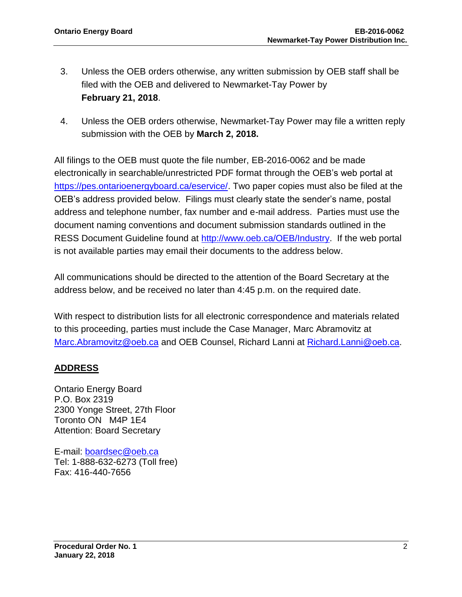- 3. Unless the OEB orders otherwise, any written submission by OEB staff shall be filed with the OEB and delivered to Newmarket-Tay Power by **February 21, 2018**.
- 4. Unless the OEB orders otherwise, Newmarket-Tay Power may file a written reply submission with the OEB by **March 2, 2018.**

All filings to the OEB must quote the file number, EB-2016-0062 and be made electronically in searchable/unrestricted PDF format through the OEB's web portal at [https://pes.ontarioenergyboard.ca/eservice/.](https://pes.ontarioenergyboard.ca/eservice/) Two paper copies must also be filed at the OEB's address provided below. Filings must clearly state the sender's name, postal address and telephone number, fax number and e-mail address. Parties must use the document naming conventions and document submission standards outlined in the RESS Document Guideline found at [http://www.oeb.ca/OEB/Industry.](http://www.oeb.ca/OEB/Industry) If the web portal is not available parties may email their documents to the address below.

All communications should be directed to the attention of the Board Secretary at the address below, and be received no later than 4:45 p.m. on the required date.

With respect to distribution lists for all electronic correspondence and materials related to this proceeding, parties must include the Case Manager, Marc Abramovitz at [Marc.Abramovitz@oeb.ca](mailto:Marc.Abramovitz@oeb.ca) and OEB Counsel, Richard Lanni at [Richard.Lanni@oeb.ca.](mailto:Richard.Lanni@ontarioenergyboard.ca)

# **ADDRESS**

Ontario Energy Board P.O. Box 2319 2300 Yonge Street, 27th Floor Toronto ON M4P 1E4 Attention: Board Secretary

E-mail: [boardsec@oeb.ca](mailto:boardsec@oeb.ca) Tel: 1-888-632-6273 (Toll free) Fax: 416-440-7656